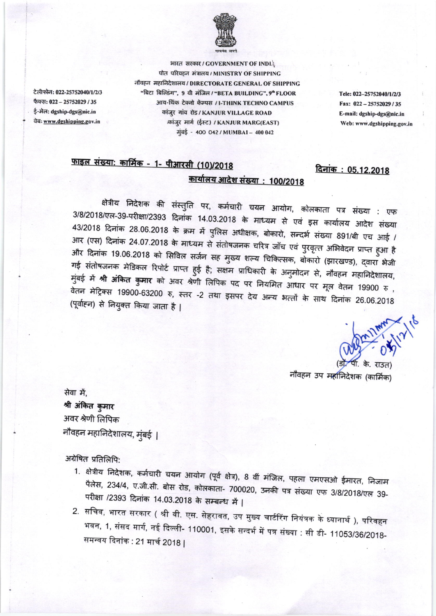

टेलीफोन: 022-25752040/1/2/3 फैक्स: 022 - 25752029 / 35 ई-मेल: dgship-dgs@nic.in वेबः www.dgshipping.gov.in

भारत सरकार / GOVERNMENT OF INDIA पोत परिवहन मंत्रालय / MINISTRY OF SHIPPING नौवहन महानिदेशालय / DIRECTORATE GENERAL OF SHIPPING "बिटा बिल्डिंग", 9 वी मंजिल / "BETA BUILDING", 9" FLOOR आय-थिंक टेक्नो कॅम्पस / I-THINK TECHNO CAMPUS कांजुर गांव रोड / KANJUR VILLAGE ROAD कांजुर मार्ग (ईस्ट) / KANJUR MARG(EAST) मुंबई - 400 042 / MUMBAI - 400 042

Tele: 022-25752040/1/2/3 Fax: 022-25752029/35 E-mail: dgship-dgs@nic.in Web: www.dgshipping.gov.in

दिनांक: 05.12.2018

## <u> फाइल संख्या: कार्मिक - 1- पीआरसी (10)/2018</u> <u> कार्यालय आदेश संख्या : 100/2018</u>

क्षेत्रीय निदेशक की संस्तुति पर, कर्मचारी चयन आयोग, कोलकाता पत्र संख्या : एफ 3/8/2018/एल-39-परीक्षा/2393 दिनांक 14.03.2018 के माध्यम से एवं इस कार्यालय आदेश संख्या 43/2018 दिनांक 28.06.2018 के क्रम में पुलिस अधीक्षक, बोकारो, सन्दर्भ संख्या 891/बी एच आई / आर (एस) दिनांक 24.07.2018 के माध्यम से संतोषजनक चरित्र जाँच एवं पुरवृत्त अभिवेदन प्राप्त हुआ है और दिनांक 19.06.2018 को सिविल सर्जन सह मुख्य शल्य चिकित्सक, बोकारो (झारखण्ड), द्वारा भेजी गई संतोषजनक मेडिकल रिपोर्ट प्राप्त हुई है; सक्षम प्राधिकारी के अनुमोदन से, नौवहन महानिदेशालय, मुंबई में **श्री अंकित कुमार** को अवर श्रेणी लिपिक पद पर नियमित आधार पर मूल वेतन 19900 रु , वेतन मेट्रिक्स 19900-63200 रु, स्तर -2 तथा इसपर देय अन्य भत्तों के साथ दिनांक 26.06.2018 (पूर्वाहन) से नियुक्त किया जाता है |

नौवहन उप महानिदेशक (कार्मिक)

सेवा में. श्री अंकित कुमार अवर श्रेणी लिपिक नौवहन महानिदेशालय, मुंबई |

अंग्रेषित प्रतिलिपि:

- 1. क्षेत्रीय निदेशक, कर्मचारी चयन आयोग (पूर्व क्षेत्र), 8 वीं मंजिल, पहला एमएसओ ईमारत, निजाम पैलेस, 234/4, ए.जी.सी. बोस रोड, कोलकाता- 700020, उनकी पत्र संख्या एफ 3/8/2018/एल 39-परीक्षा /2393 दिनांक 14.03.2018 के सम्बन्ध में |
- 2. सचिव, भारत सरकार ( श्री वी. एस. सेहरावत, उप मुख्य चार्टरिंग नियंत्रक के ध्यानार्थ ), परिवहन भवन, 1, संसद मार्ग, नई दिल्ली- 110001, इसके सन्दर्भ में पत्र संख्या : सी डी- 11053/36/2018-समन्वय दिनांक : 21 मार्च 2018 |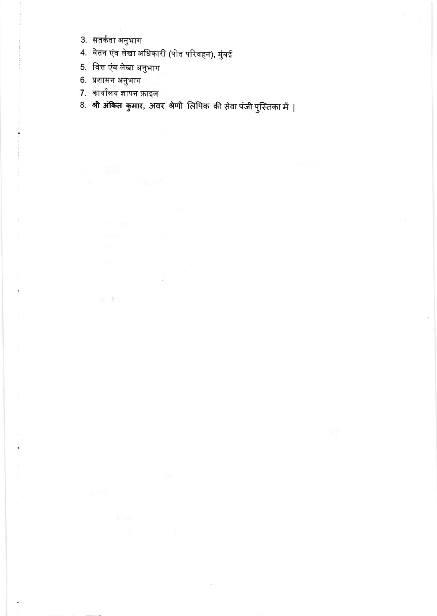- 3. सतर्कता अनुभाग
- 4. वेतन एंव लेखा अधिकारी (पोत परिवहन), मुंबई

 $\mathcal{A}_{\alpha}$  .

- 5. वित्त एंव लेखा अनुभाग
- 6. प्रशासन अनुभाग

 $\bullet$ 

7. कार्यालय ज्ञापन फ़ाइल

家康二十二

8. श्री अंकित कुमार, अवर श्रेणी लिपिक की सेवा पंजी पुस्तिका में |